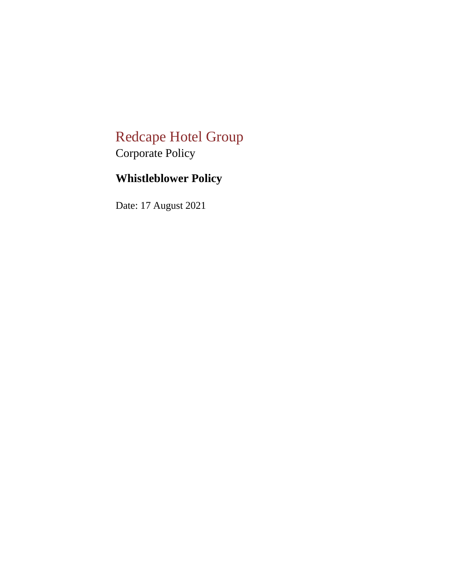# Redcape Hotel Group Corporate Policy

# **Whistleblower Policy**

Date: 17 August 2021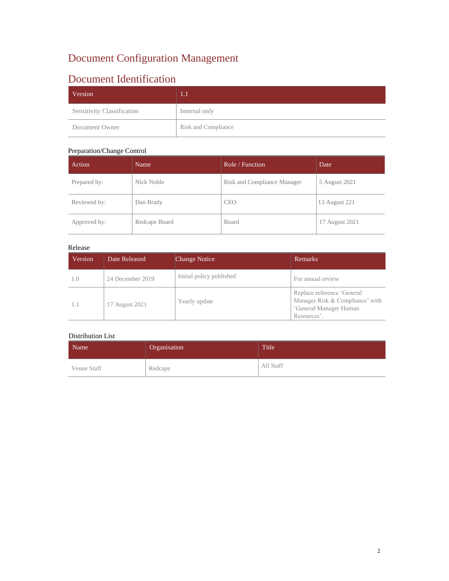## Document Configuration Management

## Document Identification

| Version                           | 1. J                |
|-----------------------------------|---------------------|
| <b>Sensitivity Classification</b> | Internal only       |
| Document Owner                    | Risk and Compliance |

#### Preparation/Change Control

| Action       | Name          | Role / Function             | Date           |
|--------------|---------------|-----------------------------|----------------|
| Prepared by: | Nick Noble    | Risk and Compliance Manager | 5 August 2021  |
| Reviewed by: | Dan Brady     | <b>CEO</b>                  | 13 August 221  |
| Approved by: | Redcape Board | Board                       | 17 August 2021 |

#### Release

| Version | Date Released    | <b>Change Notice</b>     | <b>Remarks</b>                                                                                         |
|---------|------------------|--------------------------|--------------------------------------------------------------------------------------------------------|
| 1.0     | 24 December 2019 | Initial policy published | For annual review                                                                                      |
|         | 17 August 2021   | Yearly update            | Replace reference 'General<br>Manager Risk & Compliance' with<br>'General Manager Human<br>Resources'. |

### Distribution List

| Name        | Organisation | Title     |
|-------------|--------------|-----------|
| Venue Staff | Redcape      | All Staff |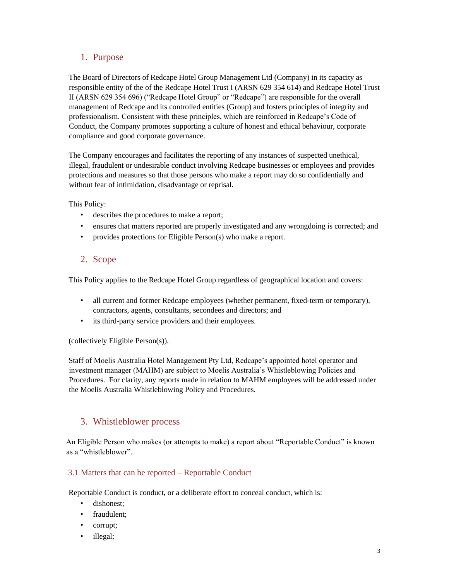## 1. Purpose

The Board of Directors of Redcape Hotel Group Management Ltd (Company) in its capacity as responsible entity of the of the Redcape Hotel Trust I (ARSN 629 354 614) and Redcape Hotel Trust II (ARSN 629 354 696) ("Redcape Hotel Group" or "Redcape") are responsible for the overall management of Redcape and its controlled entities (Group) and fosters principles of integrity and professionalism. Consistent with these principles, which are reinforced in Redcape's Code of Conduct, the Company promotes supporting a culture of honest and ethical behaviour, corporate compliance and good corporate governance.

The Company encourages and facilitates the reporting of any instances of suspected unethical, illegal, fraudulent or undesirable conduct involving Redcape businesses or employees and provides protections and measures so that those persons who make a report may do so confidentially and without fear of intimidation, disadvantage or reprisal.

This Policy:

- describes the procedures to make a report;
- ensures that matters reported are properly investigated and any wrongdoing is corrected; and
- provides protections for Eligible Person(s) who make a report.

## 2. Scope

This Policy applies to the Redcape Hotel Group regardless of geographical location and covers:

- all current and former Redcape employees (whether permanent, fixed-term or temporary), contractors, agents, consultants, secondees and directors; and
- its third-party service providers and their employees.

(collectively Eligible Person(s)).

Staff of Moelis Australia Hotel Management Pty Ltd, Redcape's appointed hotel operator and investment manager (MAHM) are subject to Moelis Australia's Whistleblowing Policies and Procedures. For clarity, any reports made in relation to MAHM employees will be addressed under the Moelis Australia Whistleblowing Policy and Procedures.

## 3. Whistleblower process

An Eligible Person who makes (or attempts to make) a report about "Reportable Conduct" is known as a "whistleblower".

## 3.1 Matters that can be reported – Reportable Conduct

Reportable Conduct is conduct, or a deliberate effort to conceal conduct, which is:

- dishonest;
- fraudulent;
- corrupt;
- illegal;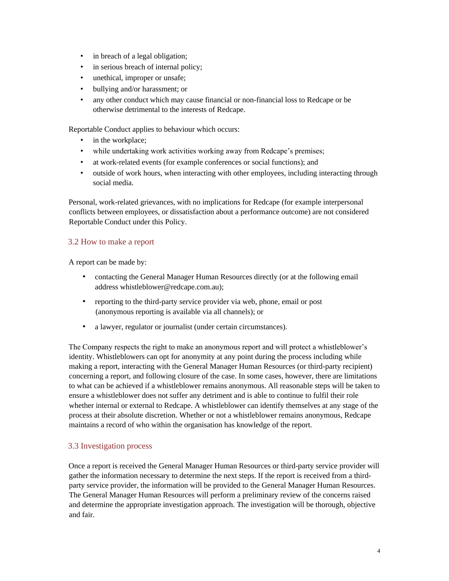- in breach of a legal obligation;
- in serious breach of internal policy;
- unethical, improper or unsafe;
- bullying and/or harassment; or
- any other conduct which may cause financial or non-financial loss to Redcape or be otherwise detrimental to the interests of Redcape.

Reportable Conduct applies to behaviour which occurs:

- in the workplace;
- while undertaking work activities working away from Redcape's premises;
- at work-related events (for example conferences or social functions); and
- outside of work hours, when interacting with other employees, including interacting through social media.

Personal, work-related grievances, with no implications for Redcape (for example interpersonal conflicts between employees, or dissatisfaction about a performance outcome) are not considered Reportable Conduct under this Policy.

#### 3.2 How to make a report

A report can be made by:

- contacting the General Manager Human Resources directly (or at the following email address whistleblower@redcape.com.au);
- reporting to the third-party service provider via web, phone, email or post (anonymous reporting is available via all channels); or
- a lawyer, regulator or journalist (under certain circumstances).

The Company respects the right to make an anonymous report and will protect a whistleblower's identity. Whistleblowers can opt for anonymity at any point during the process including while making a report, interacting with the General Manager Human Resources (or third-party recipient) concerning a report, and following closure of the case. In some cases, however, there are limitations to what can be achieved if a whistleblower remains anonymous. All reasonable steps will be taken to ensure a whistleblower does not suffer any detriment and is able to continue to fulfil their role whether internal or external to Redcape. A whistleblower can identify themselves at any stage of the process at their absolute discretion. Whether or not a whistleblower remains anonymous, Redcape maintains a record of who within the organisation has knowledge of the report.

#### 3.3 Investigation process

Once a report is received the General Manager Human Resources or third-party service provider will gather the information necessary to determine the next steps. If the report is received from a thirdparty service provider, the information will be provided to the General Manager Human Resources. The General Manager Human Resources will perform a preliminary review of the concerns raised and determine the appropriate investigation approach. The investigation will be thorough, objective and fair.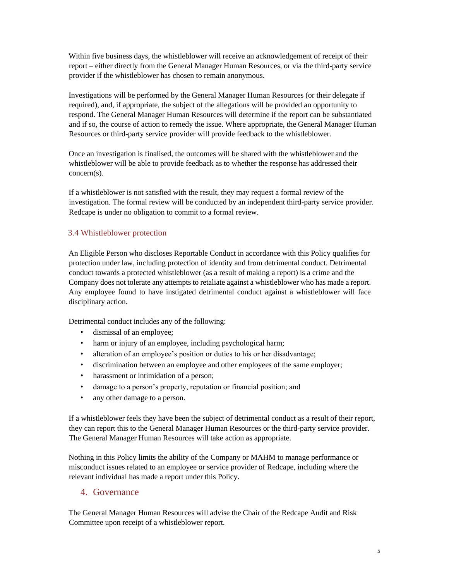Within five business days, the whistleblower will receive an acknowledgement of receipt of their report – either directly from the General Manager Human Resources, or via the third-party service provider if the whistleblower has chosen to remain anonymous.

Investigations will be performed by the General Manager Human Resources (or their delegate if required), and, if appropriate, the subject of the allegations will be provided an opportunity to respond. The General Manager Human Resources will determine if the report can be substantiated and if so, the course of action to remedy the issue. Where appropriate, the General Manager Human Resources or third-party service provider will provide feedback to the whistleblower.

Once an investigation is finalised, the outcomes will be shared with the whistleblower and the whistleblower will be able to provide feedback as to whether the response has addressed their concern(s).

If a whistleblower is not satisfied with the result, they may request a formal review of the investigation. The formal review will be conducted by an independent third-party service provider. Redcape is under no obligation to commit to a formal review.

#### 3.4 Whistleblower protection

An Eligible Person who discloses Reportable Conduct in accordance with this Policy qualifies for protection under law, including protection of identity and from detrimental conduct. Detrimental conduct towards a protected whistleblower (as a result of making a report) is a crime and the Company does not tolerate any attempts to retaliate against a whistleblower who has made a report. Any employee found to have instigated detrimental conduct against a whistleblower will face disciplinary action.

Detrimental conduct includes any of the following:

- dismissal of an employee;
- harm or injury of an employee, including psychological harm;
- alteration of an employee's position or duties to his or her disadvantage;
- discrimination between an employee and other employees of the same employer;
- harassment or intimidation of a person;
- damage to a person's property, reputation or financial position; and
- any other damage to a person.

If a whistleblower feels they have been the subject of detrimental conduct as a result of their report, they can report this to the General Manager Human Resources or the third-party service provider. The General Manager Human Resources will take action as appropriate.

Nothing in this Policy limits the ability of the Company or MAHM to manage performance or misconduct issues related to an employee or service provider of Redcape, including where the relevant individual has made a report under this Policy.

## 4. Governance

The General Manager Human Resources will advise the Chair of the Redcape Audit and Risk Committee upon receipt of a whistleblower report.